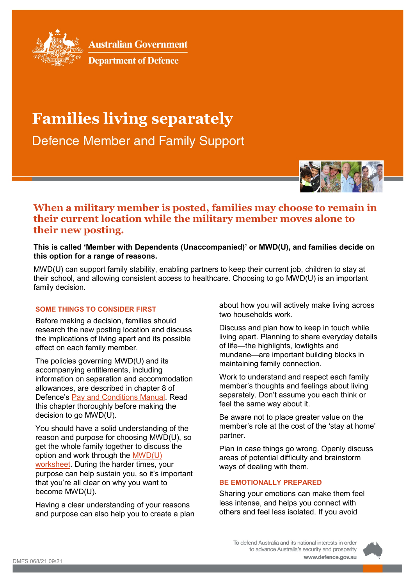

**Australian Government** 

**Department of Defence** 

# **Families living separately**

**Defence Member and Family Support** 



# **When a military member is posted, families may choose to remain in their current location while the military member moves alone to their new posting.**

### **This is called 'Member with Dependents (Unaccompanied)' or MWD(U), and families decide on this option for a range of reasons.**

MWD(U) can support family stability, enabling partners to keep their current job, children to stay at their school, and allowing consistent access to healthcare. Choosing to go MWD(U) is an important family decision.

## **SOME THINGS TO CONSIDER FIRST**

Before making a decision, families should research the new posting location and discuss the implications of living apart and its possible effect on each family member.

The policies governing MWD(U) and its accompanying entitlements, including information on separation and accommodation allowances, are described in chapter 8 of Defence's [Pay and Conditions Manual.](https://www.defence.gov.au/PayAndConditions/ADF/Chapter-8/Part-2/default.asp) Read this chapter thoroughly before making the decision to go MWD(U).

You should have a solid understanding of the reason and purpose for choosing MWD(U), so get the whole family together to discuss the option and work through the [MWD\(U\)](https://www.defence.gov.au/DCO/Military-life/Deployment/MWDU.asp)  [worksheet.](https://www.defence.gov.au/DCO/Military-life/Deployment/MWDU.asp) During the harder times, your purpose can help sustain you, so it's important that you're all clear on why you want to become MWD(U).

Having a clear understanding of your reasons and purpose can also help you to create a plan

about how you will actively make living across two households work.

Discuss and plan how to keep in touch while living apart. Planning to share everyday details of life—the highlights, lowlights and mundane—are important building blocks in maintaining family connection.

Work to understand and respect each family member's thoughts and feelings about living separately. Don't assume you each think or feel the same way about it.

Be aware not to place greater value on the member's role at the cost of the 'stay at home' partner.

Plan in case things go wrong. Openly discuss areas of potential difficulty and brainstorm ways of dealing with them.

#### **BE EMOTIONALLY PREPARED**

Sharing your emotions can make them feel less intense, and helps you connect with others and feel less isolated. If you avoid